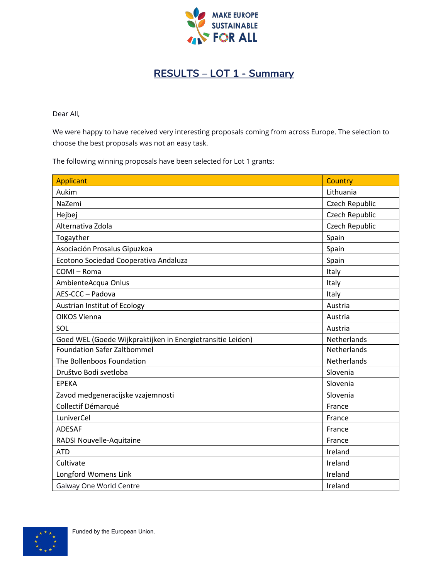

## **RESULTS – LOT 1 - Summary**

Dear All,

We were happy to have received very interesting proposals coming from across Europe. The selection to choose the best proposals was not an easy task.

The following winning proposals have been selected for Lot 1 grants:

| <b>Applicant</b>                                           | Country            |
|------------------------------------------------------------|--------------------|
| Aukim                                                      | Lithuania          |
| NaZemi                                                     | Czech Republic     |
| Hejbej                                                     | Czech Republic     |
| Alternativa Zdola                                          | Czech Republic     |
| Togayther                                                  | Spain              |
| Asociación Prosalus Gipuzkoa                               | Spain              |
| Ecotono Sociedad Cooperativa Andaluza                      | Spain              |
| COMI-Roma                                                  | Italy              |
| AmbienteAcqua Onlus                                        | Italy              |
| AES-CCC - Padova                                           | Italy              |
| Austrian Institut of Ecology                               | Austria            |
| OIKOS Vienna                                               | Austria            |
| SOL                                                        | Austria            |
| Goed WEL (Goede Wijkpraktijken in Energietransitie Leiden) | Netherlands        |
| <b>Foundation Safer Zaltbommel</b>                         | <b>Netherlands</b> |
| The Bollenboos Foundation                                  | Netherlands        |
| Društvo Bodi svetloba                                      | Slovenia           |
| <b>EPEKA</b>                                               | Slovenia           |
| Zavod medgeneracijske vzajemnosti                          | Slovenia           |
| Collectif Démarqué                                         | France             |
| LuniverCel                                                 | France             |
| <b>ADESAF</b>                                              | France             |
| RADSI Nouvelle-Aquitaine                                   | France             |
| <b>ATD</b>                                                 | Ireland            |
| Cultivate                                                  | Ireland            |
| Longford Womens Link                                       | Ireland            |
| Galway One World Centre                                    | Ireland            |